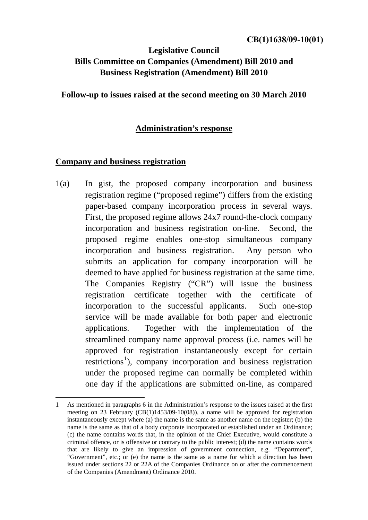# **Legislative Council Bills Committee on Companies (Amendment) Bill 2010 and Business Registration (Amendment) Bill 2010**

**Follow-up to issues raised at the second meeting on 30 March 2010** 

# **Administration's response**

# **Company and business registration**

1

1(a) In gist, the proposed company incorporation and business registration regime ("proposed regime") differs from the existing paper-based company incorporation process in several ways. First, the proposed regime allows 24x7 round-the-clock company incorporation and business registration on-line. Second, the proposed regime enables one-stop simultaneous company incorporation and business registration. Any person who submits an application for company incorporation will be deemed to have applied for business registration at the same time. The Companies Registry ("CR") will issue the business registration certificate together with the certificate of incorporation to the successful applicants. Such one-stop service will be made available for both paper and electronic applications. Together with the implementation of the streamlined company name approval process (i.e. names will be approved for registration instantaneously except for certain restrictions<sup>[1](#page-0-0)</sup>), company incorporation and business registration under the proposed regime can normally be completed within one day if the applications are submitted on-line, as compared

<span id="page-0-0"></span><sup>1</sup> As mentioned in paragraphs 6 in the Administration's response to the issues raised at the first meeting on 23 February (CB(1)1453/09-10(08)), a name will be approved for registration instantaneously except where (a) the name is the same as another name on the register; (b) the name is the same as that of a body corporate incorporated or established under an Ordinance; (c) the name contains words that, in the opinion of the Chief Executive, would constitute a criminal offence, or is offensive or contrary to the public interest; (d) the name contains words that are likely to give an impression of government connection, e.g. "Department", "Government", etc.; or (e) the name is the same as a name for which a direction has been issued under sections 22 or 22A of the Companies Ordinance on or after the commencement of the Companies (Amendment) Ordinance 2010.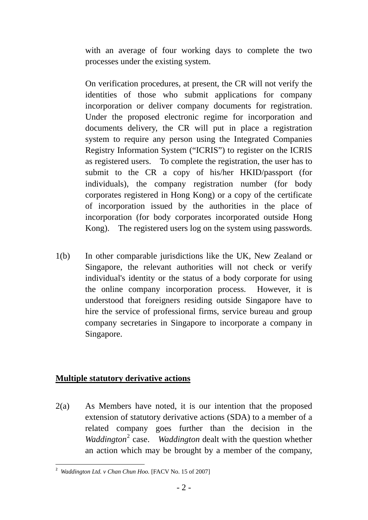with an average of four working days to complete the two processes under the existing system.

On verification procedures, at present, the CR will not verify the identities of those who submit applications for company incorporation or deliver company documents for registration. Under the proposed electronic regime for incorporation and documents delivery, the CR will put in place a registration system to require any person using the Integrated Companies Registry Information System ("ICRIS") to register on the ICRIS as registered users. To complete the registration, the user has to submit to the CR a copy of his/her HKID/passport (for individuals), the company registration number (for body corporates registered in Hong Kong) or a copy of the certificate of incorporation issued by the authorities in the place of incorporation (for body corporates incorporated outside Hong Kong). The registered users log on the system using passwords.

1(b) In other comparable jurisdictions like the UK, New Zealand or Singapore, the relevant authorities will not check or verify individual's identity or the status of a body corporate for using the online company incorporation process. However, it is understood that foreigners residing outside Singapore have to hire the service of professional firms, service bureau and group company secretaries in Singapore to incorporate a company in Singapore.

# **Multiple statutory derivative actions**

2(a) As Members have noted, it is our intention that the proposed extension of statutory derivative actions (SDA) to a member of a related company goes further than the decision in the Waddington<sup>[2](#page-1-0)</sup> case. *Waddington* dealt with the question whether an action which may be brought by a member of the company,

<span id="page-1-0"></span><sup>1</sup> <sup>2</sup> *Waddington Ltd. v Chan Chun Hoo.* [FACV No. 15 of 2007]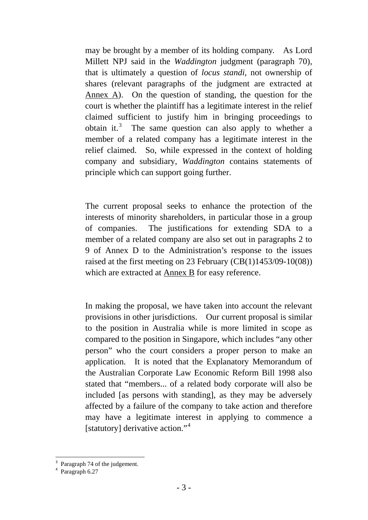may be brought by a member of its holding company. As Lord Millett NPJ said in the *Waddington* judgment (paragraph 70), that is ultimately a question of *locus standi*, not ownership of shares (relevant paragraphs of the judgment are extracted at Annex A). On the question of standing, the question for the court is whether the plaintiff has a legitimate interest in the relief claimed sufficient to justify him in bringing proceedings to obtain it.<sup>[3](#page-2-0)</sup> The same question can also apply to whether a member of a related company has a legitimate interest in the relief claimed. So, while expressed in the context of holding company and subsidiary, *Waddington* contains statements of principle which can support going further.

The current proposal seeks to enhance the protection of the interests of minority shareholders, in particular those in a group of companies. The justifications for extending SDA to a member of a related company are also set out in paragraphs 2 to 9 of Annex D to the Administration's response to the issues raised at the first meeting on 23 February (CB(1)1453/09-10(08)) which are extracted at Annex B for easy reference.

In making the proposal, we have taken into account the relevant provisions in other jurisdictions. Our current proposal is similar to the position in Australia while is more limited in scope as compared to the position in Singapore, which includes "any other person" who the court considers a proper person to make an application. It is noted that the Explanatory Memorandum of the Australian Corporate Law Economic Reform Bill 1998 also stated that "members... of a related body corporate will also be included [as persons with standing], as they may be adversely affected by a failure of the company to take action and therefore may have a legitimate interest in applying to commence a [statutory] derivative action."<sup>[4](#page-2-1)</sup>

1

Paragraph 74 of the judgement.

<span id="page-2-1"></span><span id="page-2-0"></span><sup>4</sup> Paragraph 6.27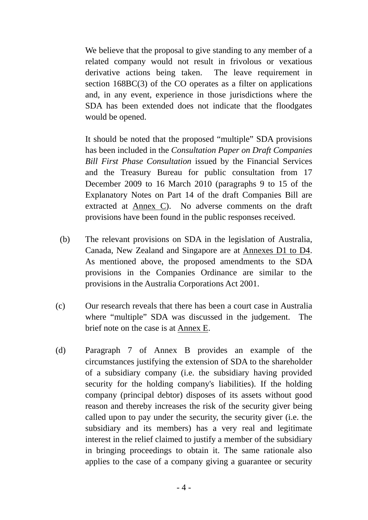We believe that the proposal to give standing to any member of a related company would not result in frivolous or vexatious derivative actions being taken. The leave requirement in section 168BC(3) of the CO operates as a filter on applications and, in any event, experience in those jurisdictions where the SDA has been extended does not indicate that the floodgates would be opened.

It should be noted that the proposed "multiple" SDA provisions has been included in the *Consultation Paper on Draft Companies Bill First Phase Consultation* issued by the Financial Services and the Treasury Bureau for public consultation from 17 December 2009 to 16 March 2010 (paragraphs 9 to 15 of the Explanatory Notes on Part 14 of the draft Companies Bill are extracted at Annex C). No adverse comments on the draft provisions have been found in the public responses received.

- (b) The relevant provisions on SDA in the legislation of Australia, Canada, New Zealand and Singapore are at Annexes D1 to D4. As mentioned above, the proposed amendments to the SDA provisions in the Companies Ordinance are similar to the provisions in the Australia Corporations Act 2001.
- (c) Our research reveals that there has been a court case in Australia where "multiple" SDA was discussed in the judgement. The brief note on the case is at Annex E.
- (d) Paragraph 7 of Annex B provides an example of the circumstances justifying the extension of SDA to the shareholder of a subsidiary company (i.e. the subsidiary having provided security for the holding company's liabilities). If the holding company (principal debtor) disposes of its assets without good reason and thereby increases the risk of the security giver being called upon to pay under the security, the security giver (i.e. the subsidiary and its members) has a very real and legitimate interest in the relief claimed to justify a member of the subsidiary in bringing proceedings to obtain it. The same rationale also applies to the case of a company giving a guarantee or security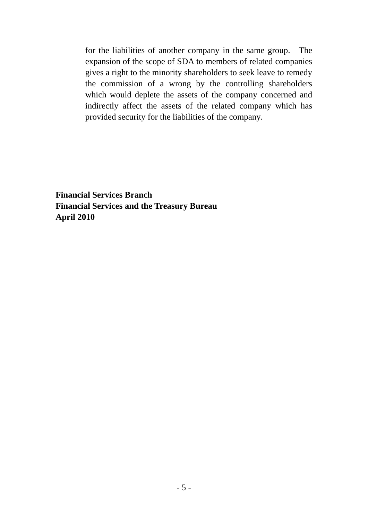for the liabilities of another company in the same group. The expansion of the scope of SDA to members of related companies gives a right to the minority shareholders to seek leave to remedy the commission of a wrong by the controlling shareholders which would deplete the assets of the company concerned and indirectly affect the assets of the related company which has provided security for the liabilities of the company.

**Financial Services Branch Financial Services and the Treasury Bureau April 2010**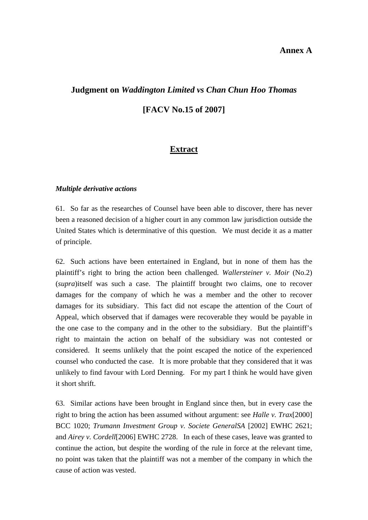## **Annex A**

# **Judgment on** *Waddington Limited vs Chan Chun Hoo Thomas*

**[FACV No.15 of 2007]** 

# **Extract**

#### *Multiple derivative actions*

61. So far as the researches of Counsel have been able to discover, there has never been a reasoned decision of a higher court in any common law jurisdiction outside the United States which is determinative of this question. We must decide it as a matter of principle.

62. Such actions have been entertained in England, but in none of them has the plaintiff's right to bring the action been challenged. *Wallersteiner v. Moir* (No.2) (*supra*)itself was such a case. The plaintiff brought two claims, one to recover damages for the company of which he was a member and the other to recover damages for its subsidiary. This fact did not escape the attention of the Court of Appeal, which observed that if damages were recoverable they would be payable in the one case to the company and in the other to the subsidiary. But the plaintiff's right to maintain the action on behalf of the subsidiary was not contested or considered. It seems unlikely that the point escaped the notice of the experienced counsel who conducted the case. It is more probable that they considered that it was unlikely to find favour with Lord Denning. For my part I think he would have given it short shrift.

63. Similar actions have been brought in England since then, but in every case the right to bring the action has been assumed without argument: see *Halle v. Trax*[2000] BCC 1020; *Trumann Investment Group v. Societe GeneralSA* [2002] EWHC 2621; and *Airey v. Cordell*[2006] EWHC 2728. In each of these cases, leave was granted to continue the action, but despite the wording of the rule in force at the relevant time, no point was taken that the plaintiff was not a member of the company in which the cause of action was vested.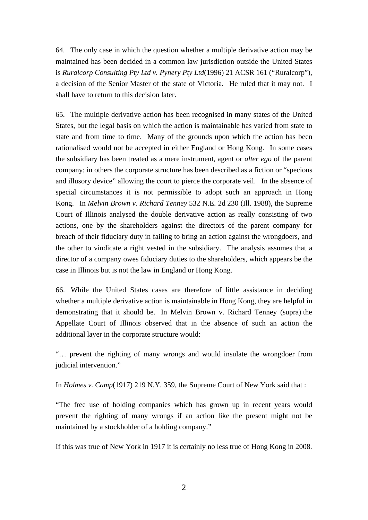64. The only case in which the question whether a multiple derivative action may be maintained has been decided in a common law jurisdiction outside the United States is *Ruralcorp Consulting Pty Ltd v. Pynery Pty Ltd*(1996) 21 ACSR 161 ("Ruralcorp"), a decision of the Senior Master of the state of Victoria. He ruled that it may not. I shall have to return to this decision later.

65. The multiple derivative action has been recognised in many states of the United States, but the legal basis on which the action is maintainable has varied from state to state and from time to time. Many of the grounds upon which the action has been rationalised would not be accepted in either England or Hong Kong. In some cases the subsidiary has been treated as a mere instrument, agent or *alter ego* of the parent company; in others the corporate structure has been described as a fiction or "specious and illusory device" allowing the court to pierce the corporate veil. In the absence of special circumstances it is not permissible to adopt such an approach in Hong Kong. In *Melvin Brown v. Richard Tenney* 532 N.E. 2d 230 (Ill. 1988), the Supreme Court of Illinois analysed the double derivative action as really consisting of two actions, one by the shareholders against the directors of the parent company for breach of their fiduciary duty in failing to bring an action against the wrongdoers, and the other to vindicate a right vested in the subsidiary. The analysis assumes that a director of a company owes fiduciary duties to the shareholders, which appears be the case in Illinois but is not the law in England or Hong Kong.

66. While the United States cases are therefore of little assistance in deciding whether a multiple derivative action is maintainable in Hong Kong, they are helpful in demonstrating that it should be. In Melvin Brown v. Richard Tenney (supra) the Appellate Court of Illinois observed that in the absence of such an action the additional layer in the corporate structure would:

"… prevent the righting of many wrongs and would insulate the wrongdoer from judicial intervention."

In *Holmes v. Camp*(1917) 219 N.Y. 359, the Supreme Court of New York said that :

"The free use of holding companies which has grown up in recent years would prevent the righting of many wrongs if an action like the present might not be maintained by a stockholder of a holding company."

If this was true of New York in 1917 it is certainly no less true of Hong Kong in 2008.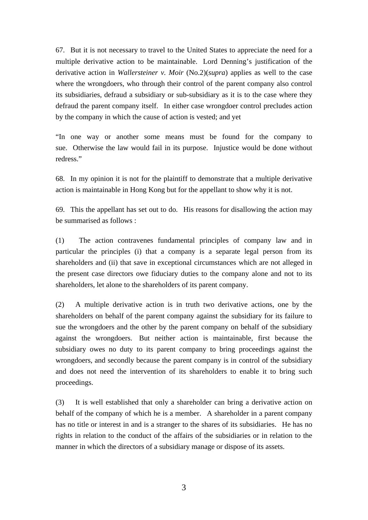67. But it is not necessary to travel to the United States to appreciate the need for a multiple derivative action to be maintainable. Lord Denning's justification of the derivative action in *Wallersteiner v. Moir* (No.2)(*supra*) applies as well to the case where the wrongdoers, who through their control of the parent company also control its subsidiaries, defraud a subsidiary or sub-subsidiary as it is to the case where they defraud the parent company itself. In either case wrongdoer control precludes action by the company in which the cause of action is vested; and yet

"In one way or another some means must be found for the company to sue. Otherwise the law would fail in its purpose. Injustice would be done without redress."

68. In my opinion it is not for the plaintiff to demonstrate that a multiple derivative action is maintainable in Hong Kong but for the appellant to show why it is not.

69. This the appellant has set out to do. His reasons for disallowing the action may be summarised as follows :

(1) The action contravenes fundamental principles of company law and in particular the principles (i) that a company is a separate legal person from its shareholders and (ii) that save in exceptional circumstances which are not alleged in the present case directors owe fiduciary duties to the company alone and not to its shareholders, let alone to the shareholders of its parent company.

(2) A multiple derivative action is in truth two derivative actions, one by the shareholders on behalf of the parent company against the subsidiary for its failure to sue the wrongdoers and the other by the parent company on behalf of the subsidiary against the wrongdoers. But neither action is maintainable, first because the subsidiary owes no duty to its parent company to bring proceedings against the wrongdoers, and secondly because the parent company is in control of the subsidiary and does not need the intervention of its shareholders to enable it to bring such proceedings.

(3) It is well established that only a shareholder can bring a derivative action on behalf of the company of which he is a member. A shareholder in a parent company has no title or interest in and is a stranger to the shares of its subsidiaries. He has no rights in relation to the conduct of the affairs of the subsidiaries or in relation to the manner in which the directors of a subsidiary manage or dispose of its assets.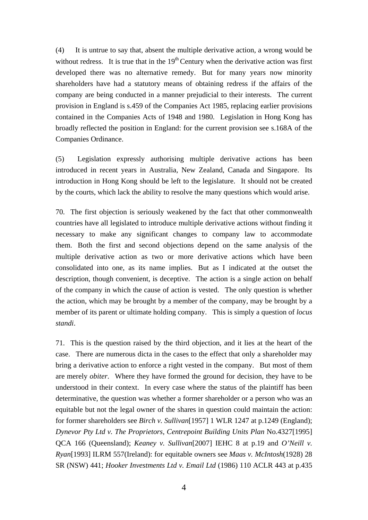(4) It is untrue to say that, absent the multiple derivative action, a wrong would be without redress. It is true that in the  $19<sup>th</sup>$  Century when the derivative action was first developed there was no alternative remedy. But for many years now minority shareholders have had a statutory means of obtaining redress if the affairs of the company are being conducted in a manner prejudicial to their interests. The current provision in England is s.459 of the Companies Act 1985, replacing earlier provisions contained in the Companies Acts of 1948 and 1980. Legislation in Hong Kong has broadly reflected the position in England: for the current provision see s.168A of the Companies Ordinance.

(5) Legislation expressly authorising multiple derivative actions has been introduced in recent years in Australia, New Zealand, Canada and Singapore. Its introduction in Hong Kong should be left to the legislature. It should not be created by the courts, which lack the ability to resolve the many questions which would arise.

70. The first objection is seriously weakened by the fact that other commonwealth countries have all legislated to introduce multiple derivative actions without finding it necessary to make any significant changes to company law to accommodate them. Both the first and second objections depend on the same analysis of the multiple derivative action as two or more derivative actions which have been consolidated into one, as its name implies. But as I indicated at the outset the description, though convenient, is deceptive. The action is a single action on behalf of the company in which the cause of action is vested. The only question is whether the action, which may be brought by a member of the company, may be brought by a member of its parent or ultimate holding company. This is simply a question of *locus standi*.

71. This is the question raised by the third objection, and it lies at the heart of the case. There are numerous dicta in the cases to the effect that only a shareholder may bring a derivative action to enforce a right vested in the company. But most of them are merely *obiter*. Where they have formed the ground for decision, they have to be understood in their context. In every case where the status of the plaintiff has been determinative, the question was whether a former shareholder or a person who was an equitable but not the legal owner of the shares in question could maintain the action: for former shareholders see *Birch v. Sullivan*[1957] 1 WLR 1247 at p.1249 (England); *Dynevor Pty Ltd v. The Proprietors, Centrepoint Building Units Plan* No.4327[1995] QCA 166 (Queensland); *Keaney v. Sullivan*[2007] IEHC 8 at p.19 and *O'Neill v. Ryan*[1993] ILRM 557(Ireland): for equitable owners see *Maas v. McIntosh*(1928) 28 SR (NSW) 441; *Hooker Investments Ltd v. Email Ltd* (1986) 110 ACLR 443 at p.435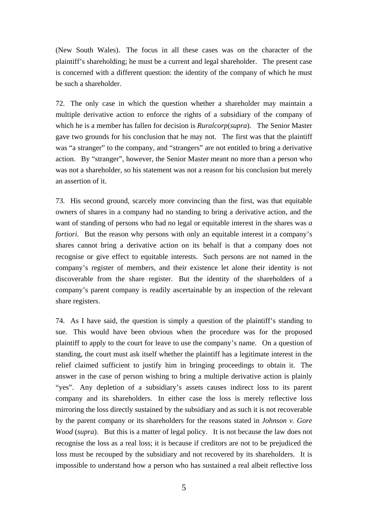(New South Wales). The focus in all these cases was on the character of the plaintiff's shareholding; he must be a current and legal shareholder. The present case is concerned with a different question: the identity of the company of which he must be such a shareholder.

72. The only case in which the question whether a shareholder may maintain a multiple derivative action to enforce the rights of a subsidiary of the company of which he is a member has fallen for decision is *Ruralcorp*(*supra*). The Senior Master gave two grounds for his conclusion that he may not. The first was that the plaintiff was "a stranger" to the company, and "strangers" are not entitled to bring a derivative action. By "stranger", however, the Senior Master meant no more than a person who was not a shareholder, so his statement was not a reason for his conclusion but merely an assertion of it.

73. His second ground, scarcely more convincing than the first, was that equitable owners of shares in a company had no standing to bring a derivative action, and the want of standing of persons who had no legal or equitable interest in the shares was *a fortiori*. But the reason why persons with only an equitable interest in a company's shares cannot bring a derivative action on its behalf is that a company does not recognise or give effect to equitable interests. Such persons are not named in the company's register of members, and their existence let alone their identity is not discoverable from the share register. But the identity of the shareholders of a company's parent company is readily ascertainable by an inspection of the relevant share registers.

74. As I have said, the question is simply a question of the plaintiff's standing to sue. This would have been obvious when the procedure was for the proposed plaintiff to apply to the court for leave to use the company's name. On a question of standing, the court must ask itself whether the plaintiff has a legitimate interest in the relief claimed sufficient to justify him in bringing proceedings to obtain it. The answer in the case of person wishing to bring a multiple derivative action is plainly "yes". Any depletion of a subsidiary's assets causes indirect loss to its parent company and its shareholders. In either case the loss is merely reflective loss mirroring the loss directly sustained by the subsidiary and as such it is not recoverable by the parent company or its shareholders for the reasons stated in *Johnson v. Gore Wood* (*supra*). But this is a matter of legal policy. It is not because the law does not recognise the loss as a real loss; it is because if creditors are not to be prejudiced the loss must be recouped by the subsidiary and not recovered by its shareholders. It is impossible to understand how a person who has sustained a real albeit reflective loss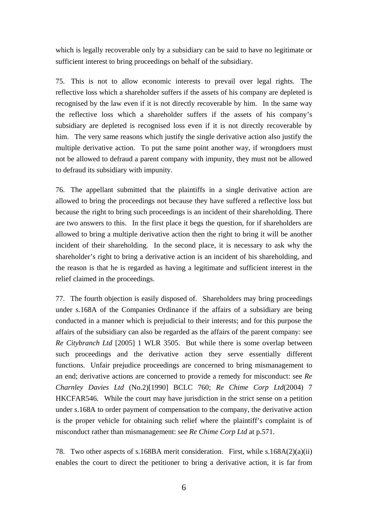which is legally recoverable only by a subsidiary can be said to have no legitimate or sufficient interest to bring proceedings on behalf of the subsidiary.

75. This is not to allow economic interests to prevail over legal rights. The reflective loss which a shareholder suffers if the assets of his company are depleted is recognised by the law even if it is not directly recoverable by him. In the same way the reflective loss which a shareholder suffers if the assets of his company's subsidiary are depleted is recognised loss even if it is not directly recoverable by him. The very same reasons which justify the single derivative action also justify the multiple derivative action. To put the same point another way, if wrongdoers must not be allowed to defraud a parent company with impunity, they must not be allowed to defraud its subsidiary with impunity.

76. The appellant submitted that the plaintiffs in a single derivative action are allowed to bring the proceedings not because they have suffered a reflective loss but because the right to bring such proceedings is an incident of their shareholding. There are two answers to this. In the first place it begs the question, for if shareholders are allowed to bring a multiple derivative action then the right to bring it will be another incident of their shareholding. In the second place, it is necessary to ask why the shareholder's right to bring a derivative action is an incident of his shareholding, and the reason is that he is regarded as having a legitimate and sufficient interest in the relief claimed in the proceedings.

77. The fourth objection is easily disposed of. Shareholders may bring proceedings under s.168A of the Companies Ordinance if the affairs of a subsidiary are being conducted in a manner which is prejudicial to their interests; and for this purpose the affairs of the subsidiary can also be regarded as the affairs of the parent company: see *Re Citybranch Ltd* [2005] 1 WLR 3505. But while there is some overlap between such proceedings and the derivative action they serve essentially different functions. Unfair prejudice proceedings are concerned to bring mismanagement to an end; derivative actions are concerned to provide a remedy for misconduct: see *Re Charnley Davies Ltd* (No.2)[1990] BCLC 760; *Re Chime Corp Ltd*(2004) 7 HKCFAR546. While the court may have jurisdiction in the strict sense on a petition under s.168A to order payment of compensation to the company, the derivative action is the proper vehicle for obtaining such relief where the plaintiff's complaint is of misconduct rather than mismanagement: see *Re Chime Corp Ltd* at p.571.

78. Two other aspects of s.168BA merit consideration. First, while s.168A(2)(a)(ii) enables the court to direct the petitioner to bring a derivative action, it is far from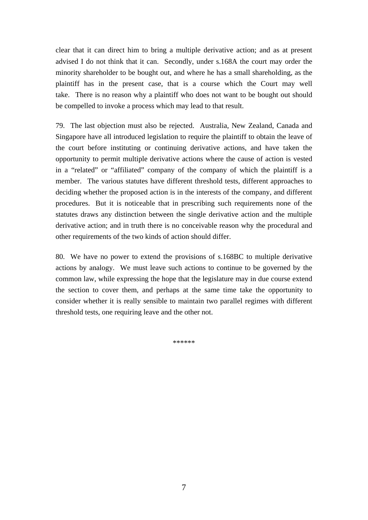clear that it can direct him to bring a multiple derivative action; and as at present advised I do not think that it can. Secondly, under s.168A the court may order the minority shareholder to be bought out, and where he has a small shareholding, as the plaintiff has in the present case, that is a course which the Court may well take. There is no reason why a plaintiff who does not want to be bought out should be compelled to invoke a process which may lead to that result.

79. The last objection must also be rejected. Australia, New Zealand, Canada and Singapore have all introduced legislation to require the plaintiff to obtain the leave of the court before instituting or continuing derivative actions, and have taken the opportunity to permit multiple derivative actions where the cause of action is vested in a "related" or "affiliated" company of the company of which the plaintiff is a member. The various statutes have different threshold tests, different approaches to deciding whether the proposed action is in the interests of the company, and different procedures. But it is noticeable that in prescribing such requirements none of the statutes draws any distinction between the single derivative action and the multiple derivative action; and in truth there is no conceivable reason why the procedural and other requirements of the two kinds of action should differ.

80. We have no power to extend the provisions of s.168BC to multiple derivative actions by analogy. We must leave such actions to continue to be governed by the common law, while expressing the hope that the legislature may in due course extend the section to cover them, and perhaps at the same time take the opportunity to consider whether it is really sensible to maintain two parallel regimes with different threshold tests, one requiring leave and the other not.

\*\*\*\*\*\*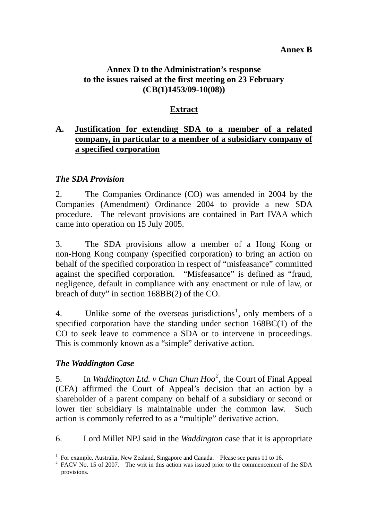# **Annex B**

# **Annex D to the Administration's response to the issues raised at the first meeting on 23 February (CB(1)1453/09-10(08))**

# **Extract**

# **A. Justification for extending SDA to a member of a related company, in particular to a member of a subsidiary company of a specified corporation**

# *The SDA Provision*

2. The Companies Ordinance (CO) was amended in 2004 by the Companies (Amendment) Ordinance 2004 to provide a new SDA procedure. The relevant provisions are contained in Part IVAA which came into operation on 15 July 2005.

3. The SDA provisions allow a member of a Hong Kong or non-Hong Kong company (specified corporation) to bring an action on behalf of the specified corporation in respect of "misfeasance" committed against the specified corporation. "Misfeasance" is defined as "fraud, negligence, default in compliance with any enactment or rule of law, or breach of duty" in section 168BB(2) of the CO.

4. Unlike some of the overseas jurisdictions<sup>[1](#page-12-0)</sup>, only members of a specified corporation have the standing under section 168BC(1) of the CO to seek leave to commence a SDA or to intervene in proceedings. This is commonly known as a "simple" derivative action.

# *The Waddington Case*

1

5. In *Waddington Ltd. v Chan Chun Hoo*<sup>[2](#page-12-1)</sup>, the Court of Final Appeal (CFA) affirmed the Court of Appeal's decision that an action by a shareholder of a parent company on behalf of a subsidiary or second or lower tier subsidiary is maintainable under the common law. Such action is commonly referred to as a "multiple" derivative action.

6. Lord Millet NPJ said in the *Waddington* case that it is appropriate

<sup>&</sup>lt;sup>1</sup> For example, Australia, New Zealand, Singapore and Canada. Please see paras 11 to 16.<br><sup>2</sup> EACV No. 15 of 2007. The writ in this action was issued prior to the commencement of

<span id="page-12-1"></span><span id="page-12-0"></span> $\frac{2}{3}$  FACV No. 15 of 2007. The writ in this action was issued prior to the commencement of the SDA provisions.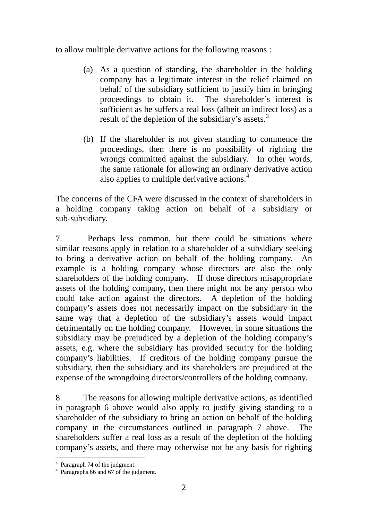to allow multiple derivative actions for the following reasons :

- (a) As a question of standing, the shareholder in the holding company has a legitimate interest in the relief claimed on behalf of the subsidiary sufficient to justify him in bringing proceedings to obtain it. The shareholder's interest is sufficient as he suffers a real loss (albeit an indirect loss) as a result of the depletion of the subsidiary's assets.<sup>[3](#page-13-0)</sup>
- (b) If the shareholder is not given standing to commence the proceedings, then there is no possibility of righting the wrongs committed against the subsidiary. In other words, the same rationale for allowing an ordinar[y](#page-13-1) derivative action also applies to multiple derivative actions.<sup>[4](#page-13-1)</sup>

The concerns of the CFA were discussed in the context of shareholders in a holding company taking action on behalf of a subsidiary or sub-subsidiary.

7. Perhaps less common, but there could be situations where similar reasons apply in relation to a shareholder of a subsidiary seeking to bring a derivative action on behalf of the holding company. An example is a holding company whose directors are also the only shareholders of the holding company. If those directors misappropriate assets of the holding company, then there might not be any person who could take action against the directors. A depletion of the holding company's assets does not necessarily impact on the subsidiary in the same way that a depletion of the subsidiary's assets would impact detrimentally on the holding company. However, in some situations the subsidiary may be prejudiced by a depletion of the holding company's assets, e.g. where the subsidiary has provided security for the holding company's liabilities. If creditors of the holding company pursue the subsidiary, then the subsidiary and its shareholders are prejudiced at the expense of the wrongdoing directors/controllers of the holding company.

8. The reasons for allowing multiple derivative actions, as identified in paragraph 6 above would also apply to justify giving standing to a shareholder of the subsidiary to bring an action on behalf of the holding company in the circumstances outlined in paragraph 7 above. The shareholders suffer a real loss as a result of the depletion of the holding company's assets, and there may otherwise not be any basis for righting

<sup>&</sup>lt;u>.</u> <sup>3</sup> Paragraph 74 of the judgment.

<span id="page-13-1"></span><span id="page-13-0"></span><sup>4</sup> Paragraphs 66 and 67 of the judgment.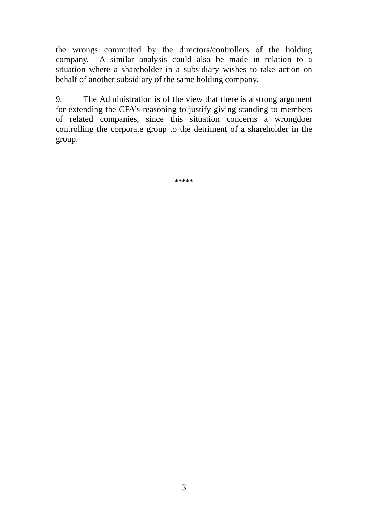the wrongs committed by the directors/controllers of the holding company. A similar analysis could also be made in relation to a situation where a shareholder in a subsidiary wishes to take action on behalf of another subsidiary of the same holding company.

9. The Administration is of the view that there is a strong argument for extending the CFA's reasoning to justify giving standing to members of related companies, since this situation concerns a wrongdoer controlling the corporate group to the detriment of a shareholder in the group.

**\*\*\*\*\***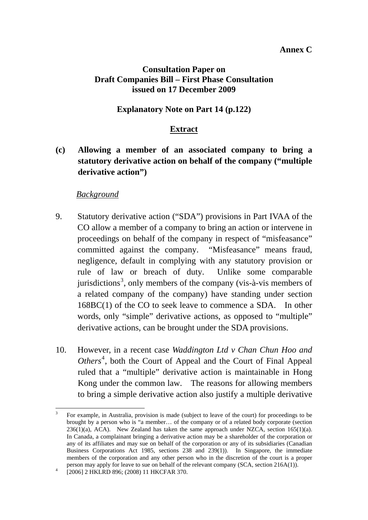# **Annex C**

# **Consultation Paper on Draft Companies Bill – First Phase Consultation issued on 17 December 2009**

# **Explanatory Note on Part 14 (p.122)**

# **Extract**

**(c) Allowing a member of an associated company to bring a statutory derivative action on behalf of the company ("multiple derivative action")** 

# *Background*

- 9. Statutory derivative action ("SDA") provisions in Part IVAA of the CO allow a member of a company to bring an action or intervene in proceedings on behalf of the company in respect of "misfeasance" committed against the company. "Misfeasance" means fraud, negligence, default in complying with any statutory provision or rule of law or breach of duty. Unlike some comparable jurisdictions<sup>[3](#page-15-0)</sup>, only members of the company (vis- $a$ -vis members of a related company of the company) have standing under section 168BC(1) of the CO to seek leave to commence a SDA. In other words, only "simple" derivative actions, as opposed to "multiple" derivative actions, can be brought under the SDA provisions.
- 10. However, in a recent case *Waddington Ltd v Chan Chun Hoo and*  Others<sup>[4](#page-15-1)</sup>, both the Court of Appeal and the Court of Final Appeal ruled that a "multiple" derivative action is maintainable in Hong Kong under the common law. The reasons for allowing members to bring a simple derivative action also justify a multiple derivative

1

<span id="page-15-0"></span><sup>3</sup> For example, in Australia, provision is made (subject to leave of the court) for proceedings to be brought by a person who is "a member… of the company or of a related body corporate (section  $236(1)(a)$ , ACA). New Zealand has taken the same approach under NZCA, section 165(1)(a). In Canada, a complainant bringing a derivative action may be a shareholder of the corporation or any of its affiliates and may sue on behalf of the corporation or any of its subsidiaries (Canadian Business Corporations Act 1985, sections 238 and 239(1)). In Singapore, the immediate members of the corporation and any other person who in the discretion of the court is a proper person may apply for leave to sue on behalf of the relevant company (SCA, section 216A(1)).

<span id="page-15-1"></span> <sup>[2006] 2</sup> HKLRD 896; (2008) 11 HKCFAR 370.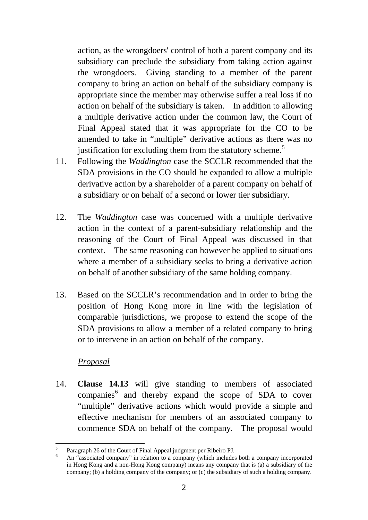action, as the wrongdoers' control of both a parent company and its subsidiary can preclude the subsidiary from taking action against the wrongdoers. Giving standing to a member of the parent company to bring an action on behalf of the subsidiary company is appropriate since the member may otherwise suffer a real loss if no action on behalf of the subsidiary is taken. In addition to allowing a multiple derivative action under the common law, the Court of Final Appeal stated that it was appropriate for the CO to be amended to take in "multiple" derivative actions as there was no justification for excluding them from the statutory scheme.<sup>5</sup>

- 11. Following the *Waddington* case the SCCLR recommended that the SDA provisions in the CO should be expanded to allow a multiple derivative action by a shareholder of a parent company on behalf of a subsidiary or on behalf of a second or lower tier subsidiary.
- 12. The *Waddington* case was concerned with a multiple derivative action in the context of a parent-subsidiary relationship and the reasoning of the Court of Final Appeal was discussed in that context. The same reasoning can however be applied to situations where a member of a subsidiary seeks to bring a derivative action on behalf of another subsidiary of the same holding company.
- 13. Based on the SCCLR's recommendation and in order to bring the position of Hong Kong more in line with the legislation of comparable jurisdictions, we propose to extend the scope of the SDA provisions to allow a member of a related company to bring or to intervene in an action on behalf of the company.

# *Proposal*

1

14. **Clause 14.13** will give standing to members of associated companies<sup>[6](#page-16-0)</sup> and thereby expand the scope of SDA to cover "multiple" derivative actions which would provide a simple and effective mechanism for members of an associated company to commence SDA on behalf of the company. The proposal would

<sup>5</sup> Paragraph 26 of the Court of Final Appeal judgment per Ribeiro PJ.

<span id="page-16-0"></span><sup>6</sup> An "associated company" in relation to a company (which includes both a company incorporated in Hong Kong and a non-Hong Kong company) means any company that is (a) a subsidiary of the company; (b) a holding company of the company; or (c) the subsidiary of such a holding company.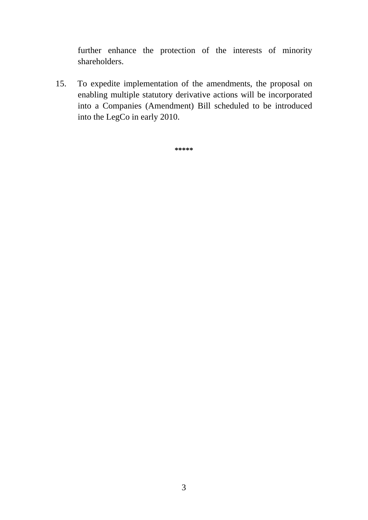further enhance the protection of the interests of minority shareholders.

15. To expedite implementation of the amendments, the proposal on enabling multiple statutory derivative actions will be incorporated into a Companies (Amendment) Bill scheduled to be introduced into the LegCo in early 2010.

**\*\*\*\*\***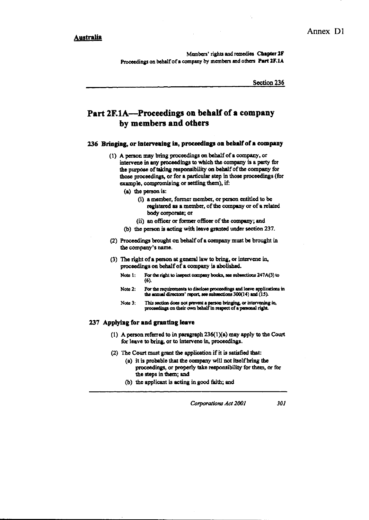Members' rights and remedies Chapter 2F Proceedings on behalf of a company by members and others Part 2F.1A

Section 236

# Part 2F.1A—Proceedings on behalf of a company by members and others

#### 236 Bringing, or intervening in, proceedings on behalf of a company

- (1) A person may bring proceedings on behalf of a company, or intervene in any proceedings to which the company is a party for the purpose of taking responsibility on behalf of the company for those proceedings, or for a particular step in those proceedings (for example, compromising or settling them), if:
	- (a) the person is:
		- (i) a member, former member, or person entitled to be registered as a member, of the company or of a related body corporate; or
		- (ii) an officer or former officer of the company; and
	- (b) the person is acting with leave granted under section 237.
- (2) Proceedings brought on behalf of a company must be brought in the company's name.
- (3) The right of a person at general law to bring, or intervene in, proceedings on behalf of a company is abolished.
	- For the right to inspect company books, see subsections 247A(3) to Note 1:  $(6)$
	- For the requirements to disclose proceedings and leave applications in Note 2: the annual directors' report, see subsections 300(14) and (15).
	- This section does not prevent a person bringing, or intervening in, proceedings on their own behalf in respect of a personal right. Note 3:

#### 237 Applying for and granting leave

- (1) A person referred to in paragraph  $236(1)(a)$  may apply to the Court for leave to bring, or to intervene in, proceedings.
- (2) The Court must grant the application if it is satisfied that:
	- (a) it is probable that the company will not itself bring the proceedings, or properly take responsibility for them, or for the steps in them; and
	- (b) the applicant is acting in good faith; and

Corporations Act 2001 301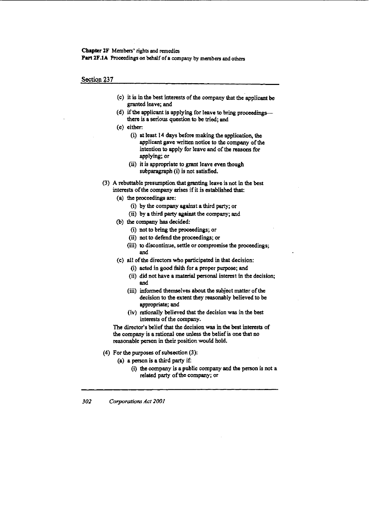#### Chapter 2F Members' rights and remedies

Part 2F.1A Proceedings on behalf of a company by members and others

Section 237

- (c) it is in the best interests of the company that the applicant be granted leave; and
- (d) if the applicant is applying for leave to bring proceedingsthere is a serious question to be tried; and
- (e) either:
	- (i) at least 14 days before making the application, the applicant gave written notice to the company of the intention to apply for leave and of the reasons for applying; or
	- (ii) it is appropriate to grant leave even though subparagraph (i) is not satisfied.
- (3) A rebuttable presumption that granting leave is not in the best interests of the company arises if it is established that:
	- (a) the proceedings are:
		- (i) by the company against a third party; or
		- (ii) by a third party against the company; and
	- (b) the company has decided:
		- (i) not to bring the proceedings; or
		- (ii) not to defend the proceedings; or
		- (iii) to discontinue, settle or compromise the proceedings; and
	- (c) all of the directors who participated in that decision:
		- (i) acted in good faith for a proper purpose; and
		- (ii) did not have a material personal interest in the decision; and
		- (iii) informed themselves about the subject matter of the decision to the extent they reasonably believed to be appropriate; and
		- (iv) rationally believed that the decision was in the best interests of the company.

The director's belief that the decision was in the best interests of the company is a rational one unless the belief is one that no reasonable person in their position would hold.

- (4) For the purposes of subsection (3):
	- (a) a person is a third party if:
		- (i) the company is a public company and the person is not a related party of the company; or

302 Corporations Act 2001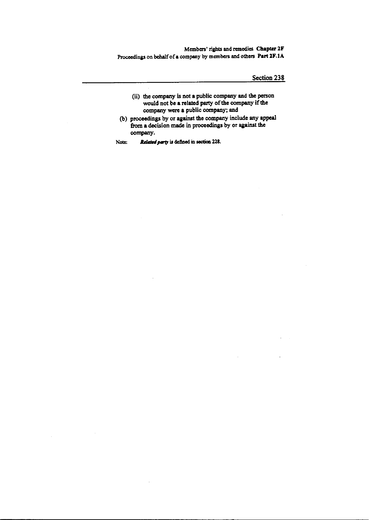Members' rights and remedies Chapter 2F Proceedings on behalf of a company by members and others Part 2F.1A

Section 238

- (ii) the company is not a public company and the person would not be a related party of the company if the company were a public company; and
- (b) proceedings by or against the company include any appeal from a decision made in proceedings by or against the company.
- Related party is defined in section 228. Note: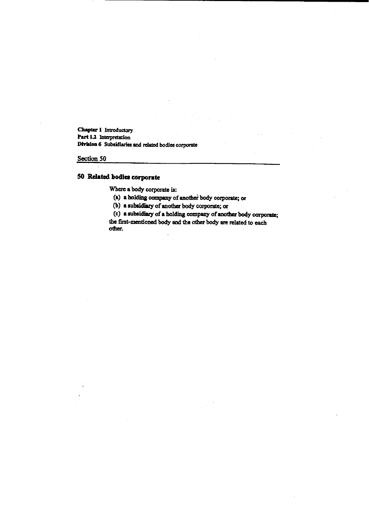Chapter 1 Introductory Part 1.2 Interpretation Division 6 Subsidiaries and related bodies corporate

Section 50

# 50 Related bodies corporate

Where a body corporate is:

(a) a holding company of another body corporate; or

(b) a subsidiary of another body corporate; or

(c) a subsidiary of a holding company of another body corporate;

the first-mentioned body and the other body are related to each other.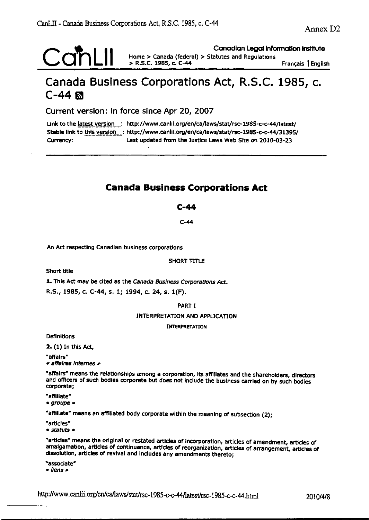Canadian Legal Information Institute

Français | English

# Canada Business Corporations Act, R.S.C. 1985, c.  $C-44$

Home > Canada (federal) > Statutes and Regulations

Current version: in force since Apr 20, 2007

Link to the latest version : http://www.canlii.org/en/ca/laws/stat/rsc-1985-c-c-44/latest/ Stable link to this version : http://www.canlii.org/en/ca/laws/stat/rsc-1985-c-c-44/31395/ Last updated from the Justice Laws Web Site on 2010-03-23 Currency:

> R.S.C. 1985, c. C-44

# **Canada Business Corporations Act**

### $C-44$

 $C-44$ 

An Act respecting Canadian business corporations

#### SHORT TITLE

Short title

1. This Act may be cited as the Canada Business Corporations Act.

R.S., 1985, c. C-44, s. 1; 1994, c. 24, s. 1(F).

#### PART I

**INTERPRETATION AND APPLICATION** 

#### **INTERPRETATION**

Definitions

2. (1) In this Act,

"affairs"

« affaires internes »

"affairs" means the relationships among a corporation, its affiliates and the shareholders, directors and officers of such bodies corporate but does not include the business carried on by such bodies corporate;

"affiliate"

« groupe »

"affillate" means an affiliated body corporate within the meaning of subsection (2);

"articles"

« statuts »

"articles" means the original or restated articles of incorporation, articles of amendment, articles of amalgamation, articles of continuance, articles of reorganization, articles of arrangement, articles of dissolution, articles of revival and includes any amendments thereto;

"associate" « liens »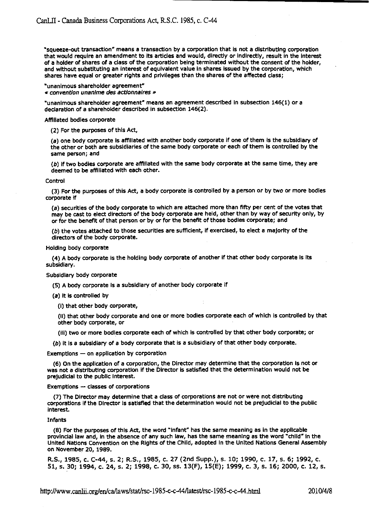"squeeze-out transaction" means a transaction by a corporation that is not a distributing corporation that would require an amendment to its articles and would, directly or indirectly, result in the interest of a holder of shares of a class of the corporation being terminated without the consent of the holder, and without substituting an interest of equivalent value in shares issued by the corporation, which shares have equal or greater rights and privileges than the shares of the affected class;

"unanimous shareholder agreement"

« convention unanime des actionnaires »

"unanimous shareholder agreement" means an agreement described in subsection 146(1) or a declaration of a shareholder described in subsection 146(2).

Affiliated bodies corporate

(2) For the purposes of this Act,

(a) one body corporate is affiliated with another body corporate if one of them is the subsidiary of the other or both are subsidiaries of the same body corporate or each of them is controlled by the same person; and

(b) if two bodies corporate are affiliated with the same body corporate at the same time, they are deemed to be affiliated with each other.

#### Control

(3) For the purposes of this Act, a body corporate is controlled by a person or by two or more bodles corporate if

(a) securities of the body corporate to which are attached more than fifty per cent of the votes that may be cast to elect directors of the body corporate are held, other than by way of security only, by or for the benefit of that person or by or for the benefit of those bodies corporate; and

(b) the votes attached to those securities are sufficient, if exercised, to elect a majority of the directors of the body corporate.

Holding body corporate

(4) A body corporate is the holding body corporate of another if that other body corporate is its subsidiary.

Subsidiary body corporate

(5) A body corporate is a subsidiary of another body corporate if

(a) it is controlled by

(i) that other body corporate,

(ii) that other body corporate and one or more bodies corporate each of which is controlled by that other body corporate, or

(iii) two or more bodies corporate each of which is controlled by that other body corporate; or

(b) it is a subsidiary of a body corporate that is a subsidiary of that other body corporate.

Exemptions - on application by corporation

(6) On the application of a corporation, the Director may determine that the corporation is not or was not a distributing corporation if the Director is satisfied that the determination would not be prejudicial to the public interest.

Exemptions - classes of corporations

(7) The Director may determine that a class of corporations are not or were not distributing corporations if the Director is satisfied that the determination would not be prejudicial to the public interest.

#### Infants

(8) For the purposes of this Act, the word "infant" has the same meaning as in the applicable provincial law and, in the absence of any such law, has the same meaning as the word "child" in the United Nations Convention on the Rights of the Child, adopted in the United Nations General Assembly on November 20, 1989.

R.S., 1985, c. C-44, s. 2; R.S., 1985, c. 27 (2nd Supp.), s. 10; 1990, c. 17, s. 6; 1992, c. 51, s. 30; 1994, c. 24, s. 2; 1998, c. 30, ss. 13(F), 15(E); 1999, c. 3, s. 16; 2000, c. 12, s.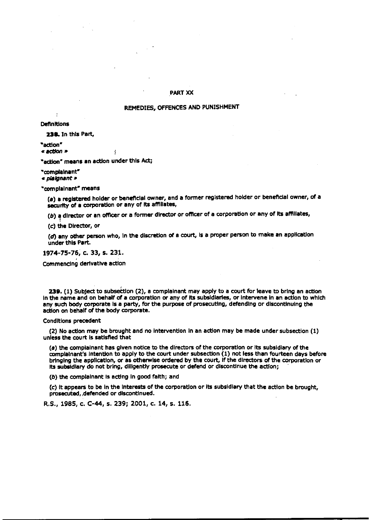#### **PART XX**

#### REMEDIES, OFFENCES AND PUNISHMENT

**Definitions** 

238. In this Part,

"action"

« action »

"action" means an action under this Act;

 $\overline{\mathbf{r}}$ 

"complainent"

« plaignant »

"complainant" means

(a) a registered holder or beneficial owner, and a former registered holder or beneficial owner, of a security of a corporation or any of its affiliates,

(b) a director or an officer or a former director or officer of a corporation or any of its affiliates,

(c) the Director, or

(d) any other person who, in the discretion of a court, is a proper person to make an application under this Part.

1974-75-76, c. 33, s. 231.

Commencing derivative action

239. (1) Subject to subsection (2), a complainant may apply to a court for leave to bring an action in the name and on behalf of a corporation or any of its subsidiaries, or intervene in an action to which any such body corporate is a party, for the purpose of prosecuting, defending or discontinuing the action on behalf of the body corporate.

Conditions precedent

(2) No action may be brought and no intervention in an action may be made under subsection (1) unless the court is satisfied that

(a) the compialnant has given notice to the directors of the corporation or its subsidiary of the complainant's intention to apply to the court under subsection (1) not less than fourteen days before bringing the application, or as otherwise ordered by the court, if the directors of the corporation or its subsidiary do not bring, diligently prosecute or defend or discontinue the action;

(b) the complainant is acting in good faith; and

(c) it appears to be in the interests of the corporation or its subsidiary that the action be brought. prosecuted, defended or discontinued.

R.S., 1985, c. C-44, s. 239; 2001, c. 14, s. 116.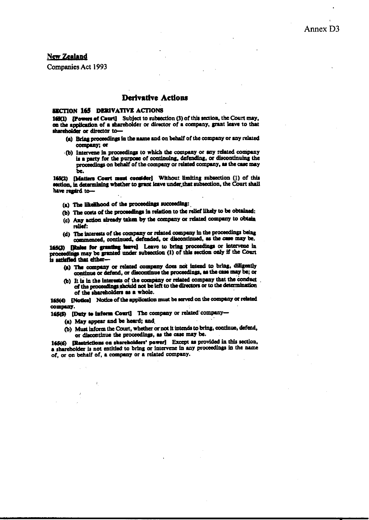#### **New Zealand**

**Companies Act 1993** 

#### Derivative Actions

#### **SECTION 165 DERIVATIVE ACTIONS**

165(1) [Powers of Court] Subject to subsection (3) of this section, the Court may, on the application of a shareholder or director of a company, grant leave to that shareholder or director to-

- (a) Bring proceedings in the name and on behalf of the company or any related company; or
- (b) Intervene in proceedings to which the company or any related company is a party for the purpose of continuing, defending, or discontinuing the proceedings on behalf of the company or related company, as the case may be.

165(2) [Matters Court must consider] Without limiting subsection (1) of this section, in determining whether to grant leave under that subsection, the Court shall have regaird to-

- (a) The likelihood of the proceedings succeeding:
- (b) The costs of the proceedings in relation to the relief likely to be obtained:
- (c) Any action already taken by the company or related company to obtain relief:
- (d) The interests of the company or related company in the proceedings being commenced, continued, defended, or discontinued, as the case may be.

165(3) [Rules for granting heave] Leave to bring proceedings or intervene in proceedings may be granted under subsection (1) of this section only if the Court is satisfied that either-

- (a) The company or related company does not intend to bring, diligently continue or defend, or discontinue the proceedings, as the case may be; or
- (b) It is in the interests of the company or related company that the conduct of the proceedings should not be left to the directors or to the determination of the shareholders as a whole.

165(4) [Notice] Notice of the application must be served on the company or related company.

165(5) [Duty to inform Court] The company or related company-

- (a) May appear and be heard; and
- (b) Must inform the Court, whether or not it intends to bring, continue, defend, or discontinue the proceedings, as the case may be.

165(6) [Restrictions on shareholders' power] Except as provided in this section. a shareholder is not entitled to bring or intervene in any proceedings in the name of, or on behalf of, a company or a related company.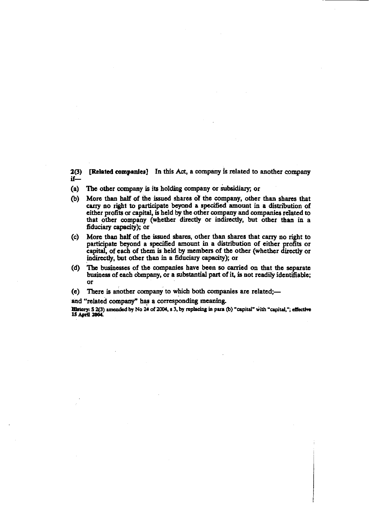2(3) [Related companies] In this Act, a company is related to another company  $if -$ 

- (a) The other company is its holding company or subsidiary; or
- (b) More than half of the issued shares of the company, other than shares that carry no right to participate beyond a specified amount in a distribution of either profits or capital, is held by the other company and companies related to that other company (whether directly or indirectly, but other than in a fiduciary capacity); or
- More than half of the issued shares, other than shares that carry no right to  $(c)$ participate beyond a specified amount in a distribution of either profits or capital, of each of them is held by members of the other (whether directly or indirectly, but other than in a fiduciary capacity); or
- The businesses of the companies have been so carried on that the separate (d) business of each company, or a substantial part of it, is not readily identifiable; or
- There is another company to which both companies are related;- $(e)$

and "related company" has a corresponding meaning.

History: S 2(3) amended by No 24 of 2004, s 3, by replacing in para (b) "capital" with "capital,"; effective 15 April 2004.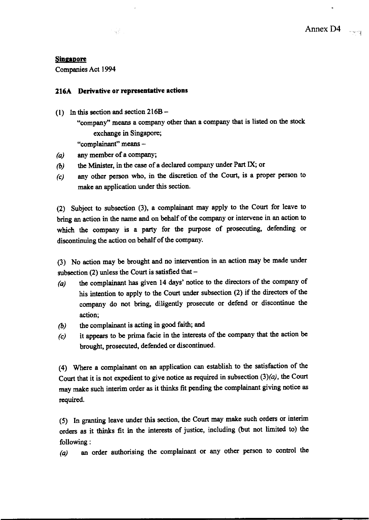#### **Singapore**

Companies Act 1994

## 216A Derivative or representative actions

기급하다

- (1) In this section and section  $216B -$ "company" means a company other than a company that is listed on the stock exchange in Singapore; "complainant" means -
- any member of a company;  $(a)$
- the Minister, in the case of a declared company under Part IX; or  $\left(\mathbf{b}\right)$
- any other person who, in the discretion of the Court, is a proper person to  $(c)$ make an application under this section.

(2) Subject to subsection (3), a complainant may apply to the Court for leave to bring an action in the name and on behalf of the company or intervene in an action to which the company is a party for the purpose of prosecuting, defending or discontinuing the action on behalf of the company.

(3) No action may be brought and no intervention in an action may be made under subsection (2) unless the Court is satisfied that -

- the complainant has given 14 days' notice to the directors of the company of  $(a)$ his intention to apply to the Court under subsection (2) if the directors of the company do not bring, diligently prosecute or defend or discontinue the action;
- the complainant is acting in good faith; and  $\left(\boldsymbol{b}\right)$
- it appears to be prima facie in the interests of the company that the action be  $(c)$ brought, prosecuted, defended or discontinued.

(4) Where a complainant on an application can establish to the satisfaction of the Court that it is not expedient to give notice as required in subsection  $(3)(a)$ , the Court may make such interim order as it thinks fit pending the complainant giving notice as required.

(5) In granting leave under this section, the Court may make such orders or interim orders as it thinks fit in the interests of justice, including (but not limited to) the following:

an order authorising the complainant or any other person to control the  $(a)$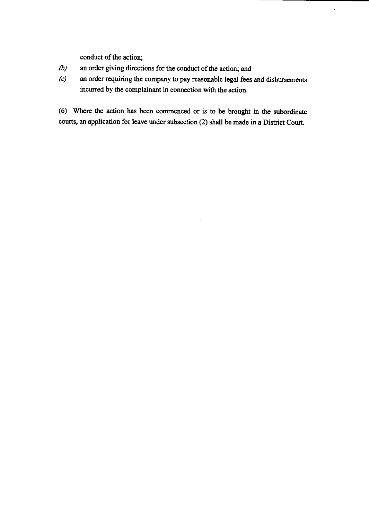conduct of the action;

- $(b)$ an order giving directions for the conduct of the action; and
- an order requiring the company to pay reasonable legal fees and disbursements  $(c)$ incurred by the complainant in connection with the action.

 $\hat{\textbf{r}}$ 

(6) Where the action has been commenced or is to be brought in the subordinate courts, an application for leave under subsection (2) shall be made in a District Court.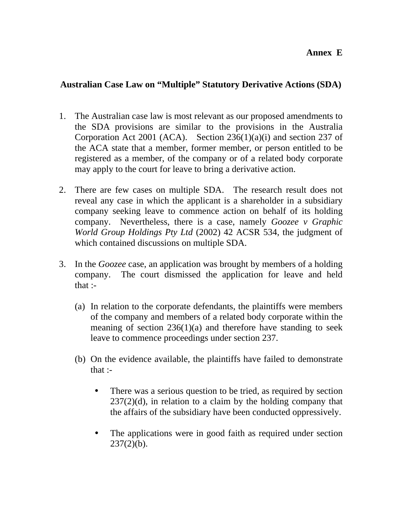# **Annex E**

# **Australian Case Law on "Multiple" Statutory Derivative Actions (SDA)**

- 1. The Australian case law is most relevant as our proposed amendments to the SDA provisions are similar to the provisions in the Australia Corporation Act 2001 (ACA). Section 236(1)(a)(i) and section 237 of the ACA state that a member, former member, or person entitled to be registered as a member, of the company or of a related body corporate may apply to the court for leave to bring a derivative action.
- 2. There are few cases on multiple SDA. The research result does not reveal any case in which the applicant is a shareholder in a subsidiary company seeking leave to commence action on behalf of its holding company. Nevertheless, there is a case, namely *Goozee v Graphic World Group Holdings Pty Ltd* (2002) 42 ACSR 534, the judgment of which contained discussions on multiple SDA.
- 3. In the *Goozee* case, an application was brought by members of a holding company. The court dismissed the application for leave and held that :-
	- (a) In relation to the corporate defendants, the plaintiffs were members of the company and members of a related body corporate within the meaning of section  $236(1)(a)$  and therefore have standing to seek leave to commence proceedings under section 237.
	- (b) On the evidence available, the plaintiffs have failed to demonstrate that :-
		- There was a serious question to be tried, as required by section  $237(2)(d)$ , in relation to a claim by the holding company that the affairs of the subsidiary have been conducted oppressively.
		- The applications were in good faith as required under section  $237(2)(b)$ .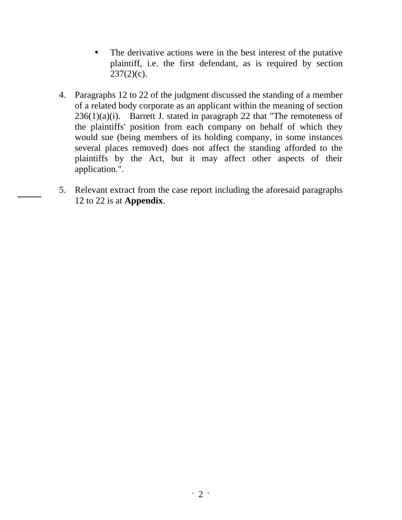- The derivative actions were in the best interest of the putative plaintiff, i.e. the first defendant, as is required by section  $237(2)(c)$ .
- 4. Paragraphs 12 to 22 of the judgment discussed the standing of a member of a related body corporate as an applicant within the meaning of section  $236(1)(a)(i)$ . Barrett J. stated in paragraph 22 that "The remoteness of the plaintiffs' position from each company on behalf of which they would sue (being members of its holding company, in some instances several places removed) does not affect the standing afforded to the plaintiffs by the Act, but it may affect other aspects of their application.".
- 5. Relevant extract from the case report including the aforesaid paragraphs 12 to 22 is at **Appendix**.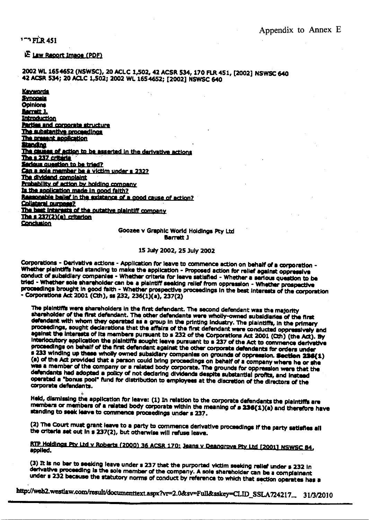1<sup>-1</sup> FLR 451

#### **E Law Report Image (PDF)**

#### 2002 WL 1654652 (NSWSC), 20 ACLC 1,502, 42 ACSR 534, 170 FLR 451, [2002] NSWSC 640 42 ACSR 534; 20 ACLC 1,502; 2002 WL 165 4652; [2002] NSWSC 640

**Keywords Synoneis Opinions Barrett 3.** Introduction **Parties and corporate structure** The substantive proceedings The present application **Standing** The causes of action to be asserted in the derivative actions The s 237 criteria Sedeus question to be tried? Can a sole member be a victim under s 232? The dividend complaint Probability of action by holding company Is the application made in good faith? Ressonable belief in the existence of a good cause of action? Collateral purpose? The best interests of the outative plaintiff company The  $s$  237 $(2)$  $(e)$  criterion **Conclusion** 

> Goozee v Graphic World Holdings Pty Ltd **Barnett 1**

#### 15 July 2002, 25 July 2002

Corporations - Derivative actions - Application for leave to commence action on behalf of a corporation -Whether plaintiffs had standing to make the application - Proposed action for relief against oppressive conduct of subsidiary companies - Whether criteria for leave satisfied - Whether a serious question to be tried - Whether sole shareholder can be a plaintiff seeking relief from oppression - Whether prospective proceedings brought in good faith - Whether prospective proceedings in the best interests of the corporation - Corporations Act 2001 (Cth), ss 232, 236(1)(a), 237(2)

The plaintiffs were shareholders in the first defendant. The second defendant was the majority shareholder of the first defendant. The other defendants were wholly-owned subsidiaries of the first defendant with whom they operated as a group in the printing industry. The plaintiffs, in the primary proceedings, sought declarations that the affairs of the first defendant were conducted oppressively and against the interests of its members pursuant to s 232 of the Corporations Act 2001 (Cth) (the Act). By Interlocutory application the plaintiffs sought leave pursuant to a 237 of the Act to commence derivative proceedings on behalf of the first defendant against the other corporate defendants for orders under s 233 winding up these wholly owned subsidiary companies on grounds of oppression. Section 236(1) (a) of the Act provided that a person could bring proceedings on behalf of a company where he or she was a member of the company or a related body corporate. The grounds for oppression were that the defendants had adopted a policy of not declaring dividends despite substantial profits, and instead operated a "bonus pool" fund for distribution to employees at the discretion of the directors of the corporate defendants.

Held, dismissing the application for leave: (1) In relation to the corporate defendants the plaintiffs are members or members of a related body corporate within the meaning of a 236(1)(a) and therefore have standing to seek leave to commence proceedings under s 237.

(2) The Court must grant leave to a party to commence derivative proceedings if the party satisfies all the criteria set out in s 237(2), but otherwise will refuse leave.

#### RTP Holdings Pty Ltd v Roberts (2000) 36 ACSR 170; Jeans v Deangrove Pty Ltd (2001) NSWSC 84, applied.

(3) It is no bar to seeking leave under s 237 that the purported victim seeking relief under s 232 in derivative proceeding is the sole member of the company. A sole shareholder can be a complainant under s 232 because the statutory norms of conduct by reference to which that section operates has a

http://web2.westiaw.com/result/documenttext.aspx?vr=2.0&sv=Full&sskey=CLID\_SSLA724217... 31/3/2010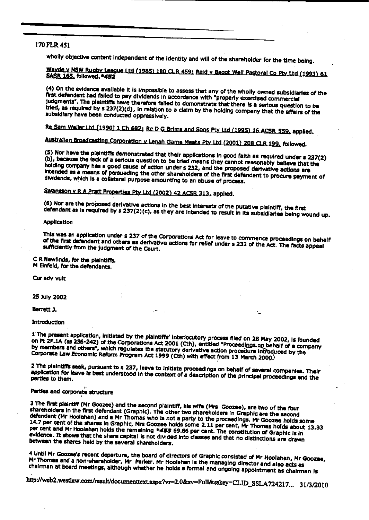#### 170 FLR 451

wholly objective content independent of the identity and will of the shareholder for the time being.

Wayde v NSW Rugby League Ltd (1985) 180 CLR 459; Reid v Bagot Well Pastoral Co Pty Ltd (1993) 61 SASR 165, followed, \*452

(4) On the evidence available it is impossible to assess that any of the wholly owned subsidiaries of the first defendant had failed to pay dividends in accordance with "properly exercised commercial judgments". The plaintiffs have therefore failed to demonstrate that there is a serious question to be tried, as required by s 237(2)(d), in relation to a claim by the holding company that the affairs of the subsidiary have been conducted oppressively.

Re Sam Weller Ltd [1990] 1 Ch 682; Re D G Brims and Sons Pty Ltd (1995) 16 ACSR 559, applied.

Australian Broadcasting Corporation v Lenah Game Meats Pty Ltd (2001) 208 CLR 199, followed.

(5) Nor have the plaintiffs demonstrated that their applications in good faith as required under s 237(2) (b), because the lack of a serious question to be tried means they cannot reasonably believe that the holding company has a good cause of action under s 232, and the proposed derivative actions are Intended as a means of persuading the other shareholders of the first defendant to procure payment of dividends, which is a collateral purpose amounting to an abuse of process.

Swansson v R A Pratt Properties Pty Ltd (2002) 42 ACSR 313, applied.

(6) Nor are the proposed derivative actions in the best interests of the putative plaintiff, the first defendant as is required by s 237(2)(c), as they are intended to result in its subsidiaries being wound up.

#### **Application**

This was an application under s 237 of the Corporations Act for leave to commence proceedings on behalf of the first defendant and others as derivative actions for relief under s 232 of the Act. The facts appeal sufficiently from the judgment of the Court.

#### C R Newlinds, for the plaintiffs. M Einfeld, for the defendants.

Cur adv vult

25 July 2002

Barrett J.

#### Introduction

1 The present application, initiated by the plaintiffs' interlocutory process filed on 28 May 2002, is founded on Pt 2F.1A (ss 236-242) of the Corporations Act 2001 (Cth), entitled "Proceedings on behalf of a company by members and others", which regulates the statutory derivative action procedure introduced by the Corporate Law Economic Reform Program Act 1999 (Cth) with effect from 13 March 2000.

2 The plaintiffs seek, pursuant to s 237, leave to initiate proceedings on behalf of several companies. Their application for leave is best understood in the context of a description of the principal proceedings and the parties to them.

#### Parties and corporate structure

3 The first plaintiff (Mr Goozee) and the second plaintiff, his wife (Mrs Goozee), are two of the four shareholders in the first defendant (Graphic). The other two shareholders in Graphic are the second defendant (Mr Hoolahan) and a Mr Thomas who is not a party to the proceedings. Mr Goozee holds some 14.7 per cent of the shares in Graphic, Mrs Goozee holds some 2.11 per cent, Mr Thomas holds about 13.33 per cent and Mr Hoolahan holds the remaining \*453 69.86 per cent. The constitution of Graphic is in evidence. It shows that the share capital is not divided into classes and that no distinctions are drawn between the shares held by the several shareholders.

4 Until Mr Goozee's recent departure, the board of directors of Graphic consisted of Mr Hoolahan, Mr Goozee, Mr Thomas and a non-shareholder, Mr Parker. Mr Hoolahan is the managing director and also acts as chairman at board meetings, although whether he holds a formal and ongoing appointment as chairman is

http://web2.westlaw.com/result/documenttext.aspx?vr=2.0&sv=Full&sskey=CLID\_SSLA724217... 31/3/2010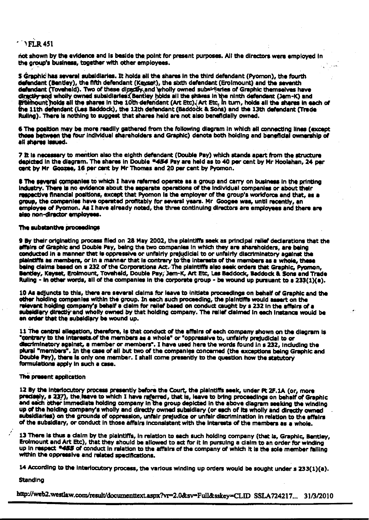# $'$  ) FLR 451

not shown by the evidence and is beside the point for present purposes. All the directors were employed in the group's business, together with other employees.

5 Graphic has several subsidiaries. It holds all the shares in the third defendant (Pyomon), the fourth defendant (Bentley), the fifth defendant (Keyset), the sixth defendant (Eroimount) and the seventh defendant (Toveheld). Two of these directly and wholly owned subsidiaries of Graphic themselves have directly and wholly owned subsidiaries. Bentley holds all the shares in the ninth defendant (Jem-K) and groimount holds all the shares in the 10th defendant (Art Etc) (Art Etc, in turn, holds all the shares in each of the 11th defendant (Les Baddock), the 12th defendant (Baddock & Sons) and the 13th defendant (Trade Ruling). There is nothing to suggest that shares held are not also beneficially owned.

6 The position may be more readily gathered from the following diagram in which all connecting lines (except<br>those between the four individual shareholders and Graphic) denote both holding and beneficial ownership of all shares issued.

7 It is necessary to mention also the eighth defendant (Double Pay) which stands apart from the structure depicted in the diagram. The shares in Double \*454 Pay are held as to 40 per cent by Mr Hoolahan, 24 per cent by Mr. Goozee, 16 per cent by Mr Thomas and 20 per cent by Pyomon.

8 The several companies to which I have referred operate as a group and carry on business in the printing industry. There is no evidence about the separate operations of the individual companies or about their respective financial positions, except that Pyomon is the employer of the group's workforce and that, as a group, the companies have operated profitably for several years. Mr Googee was, until recently, an employee of Pyomon. As I have already noted, the three continuing directors are employees and there are also non-director employees.

#### The substantive proceedings

9 By their originating process filed on 28 May 2002, the plaintiffs seek as principal relief declarations that the affairs of Graphic and Double Pay, being the two companies in which they are shareholders, are being conducted in a manner that is oppressive or unfairly prejudicial to or unfairly discriminatory against the plaintiffs as members, or in a manner that is contrary to the interests of the members as a whole, these<br>being claims based on s 232 of the Corporations Act. The plaintiffs also seek orders that Graphic, Pyomon, Bentley, Keyset, Erolmount, Toveheid, Double Pay, Jem-K, Art Etc, Les Beddock, Beddock & Sons and Trade Ruling - in other words, all of the companies in the corporate group - be wound up pursuant to s 233(1)(a).

10 As adjuncts to this, there are several claims for leave to initiate proceedings on behalf of Graphic and the other holding companies within the group. In each such proceeding, the plaintiffs would assert on the relevant holding company's behalf a claim for relief based on conduct caught by s 232 in the affairs of a subsidiary directly and wholly owned by that holding company. The relief claimed in each instance would be an order that the subsidiary be wound up.

11 The central allegation, therefore, is that conduct of the affairs of each company shown on the diagram is "contrary to the interests of the members as a whole" or "oppressive to, unfairly prejudicial to or discriminatory against, a member or members". I have used here the words found in s 232, including the plural "members". In the case of all but two of the companies concerned (the exceptions being Grephic and Double Pay), there is only one member. I shall come presently to the question how the statutory formulations apply in such a case.

#### The present application

12 By the interlocutory process presently before the Court, the plaintiffs seek, under Pt 2F.1A (or, more precisely, s 237), the leave to which I have referred, that is, leave to bring proceedings on behalf of Graphic and each other immediate holding company in the group depicted in the above diagram seeking the winding up of the holding company's wholly and directly owned subsidiary (or each of its wholly and directly owned subsidiaries) on the grounds of oppression, unfair prejudice or unfair discrimination in relation to the affairs of the subsidiary, or conduct in those affairs inconsistent with the interests of the members as a whole.

13 There is thus a claim by the piaintiffs, in relation to each such holding company (that is, Graphic, Bentley, Erolmount and Art Etc), that they should be allowed to act for it in pursulng a claim to an order for winding up in respect \*455 of conduct in ralation to the affairs of the company of which it is the sole member failing within the oppressive and related specifications.

14 According to the interlocutory process, the various winding up orders would be sought under s 233(1)(a).

**Standing** 

http://web2.westlaw.com/result/documenttext.aspx?vr=2.0&sv=Full&sskey=CLID SSLA724217... 31/3/2010